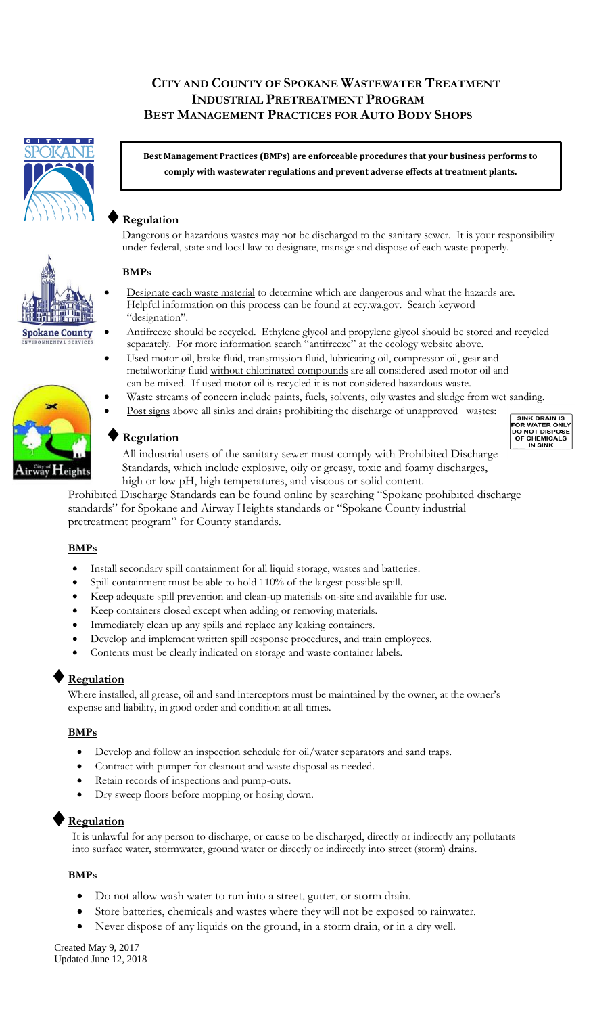## **CITY AND COUNTY OF SPOKANE WASTEWATER TREATMENT INDUSTRIAL PRETREATMENT PROGRAM BEST MANAGEMENT PRACTICES FOR AUTO BODY SHOPS**



**Best Management Practices (BMPs) are enforceable procedures that your business performs to comply with wastewater regulations and prevent adverse effects at treatment plants.**

# **Regulation**

Dangerous or hazardous wastes may not be discharged to the sanitary sewer. It is your responsibility under federal, state and local law to designate, manage and dispose of each waste properly.

## **BMPs**

- Designate each waste material to determine which are dangerous and what the hazards are. Helpful information on this process can be found at ecy.wa.gov. Search keyword "designation".
- Antifreeze should be recycled. Ethylene glycol and propylene glycol should be stored and recycled separately. For more information search "antifreeze" at the ecology website above.
- Used motor oil, brake fluid, transmission fluid, lubricating oil, compressor oil, gear and metalworking fluid without chlorinated compounds are all considered used motor oil and can be mixed. If used motor oil is recycled it is not considered hazardous waste.
- Waste streams of concern include paints, fuels, solvents, oily wastes and sludge from wet sanding.
- Post signs above all sinks and drains prohibiting the discharge of unapproved wastes:

## **Regulation**

All industrial users of the sanitary sewer must comply with Prohibited Discharge Standards, which include explosive, oily or greasy, toxic and foamy discharges, high or low pH, high temperatures, and viscous or solid content.

Prohibited Discharge Standards can be found online by searching "Spokane prohibited discharge standards" for Spokane and Airway Heights standards or "Spokane County industrial pretreatment program" for County standards.

### **BMPs**

- Install secondary spill containment for all liquid storage, wastes and batteries.
- Spill containment must be able to hold 110% of the largest possible spill.
- Keep adequate spill prevention and clean-up materials on-site and available for use.
- Keep containers closed except when adding or removing materials.
- Immediately clean up any spills and replace any leaking containers.
- Develop and implement written spill response procedures, and train employees.
- Contents must be clearly indicated on storage and waste container labels.

# **Regulation**

Where installed, all grease, oil and sand interceptors must be maintained by the owner, at the owner's expense and liability, in good order and condition at all times.

#### **BMPs**

- Develop and follow an inspection schedule for oil/water separators and sand traps.
- Contract with pumper for cleanout and waste disposal as needed.
- Retain records of inspections and pump-outs.
- Dry sweep floors before mopping or hosing down.

### **Regulation**

It is unlawful for any person to discharge, or cause to be discharged, directly or indirectly any pollutants into surface water, stormwater, ground water or directly or indirectly into street (storm) drains.

#### **BMPs**

- Do not allow wash water to run into a street, gutter, or storm drain.
- Store batteries, chemicals and wastes where they will not be exposed to rainwater.
- Never dispose of any liquids on the ground, in a storm drain, or in a dry well.

Created May 9, 2017 Updated June 12, 2018



**Spokane County**